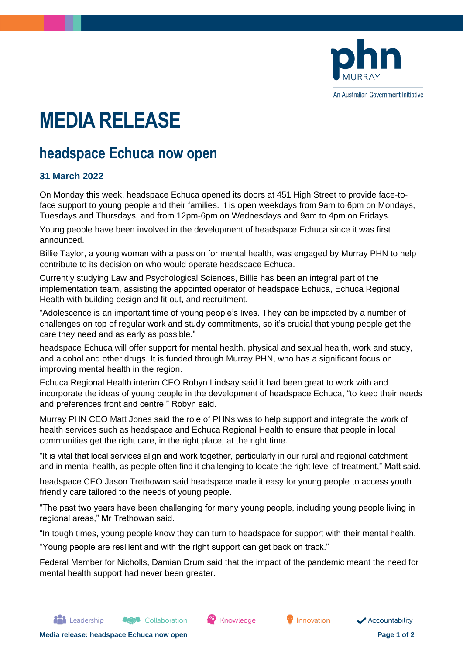

An Australian Government Initiative

## **MEDIA RELEASE**

## **headspace Echuca now open**

## **31 March 2022**

On Monday this week, headspace Echuca opened its doors at 451 High Street to provide face-toface support to young people and their families. It is open weekdays from 9am to 6pm on Mondays, Tuesdays and Thursdays, and from 12pm-6pm on Wednesdays and 9am to 4pm on Fridays.

Young people have been involved in the development of headspace Echuca since it was first announced.

Billie Taylor, a young woman with a passion for mental health, was engaged by Murray PHN to help contribute to its decision on who would operate headspace Echuca.

Currently studying Law and Psychological Sciences, Billie has been an integral part of the implementation team, assisting the appointed operator of headspace Echuca, Echuca Regional Health with building design and fit out, and recruitment.

"Adolescence is an important time of young people's lives. They can be impacted by a number of challenges on top of regular work and study commitments, so it's crucial that young people get the care they need and as early as possible."

headspace Echuca will offer support for mental health, physical and sexual health, work and study, and alcohol and other drugs. It is funded through Murray PHN, who has a significant focus on improving mental health in the region.

Echuca Regional Health interim CEO Robyn Lindsay said it had been great to work with and incorporate the ideas of young people in the development of headspace Echuca, "to keep their needs and preferences front and centre," Robyn said.

Murray PHN CEO Matt Jones said the role of PHNs was to help support and integrate the work of health services such as headspace and Echuca Regional Health to ensure that people in local communities get the right care, in the right place, at the right time.

"It is vital that local services align and work together, particularly in our rural and regional catchment and in mental health, as people often find it challenging to locate the right level of treatment," Matt said.

headspace CEO Jason Trethowan said headspace made it easy for young people to access youth friendly care tailored to the needs of young people.

"The past two years have been challenging for many young people, including young people living in regional areas," Mr Trethowan said.

"In tough times, young people know they can turn to headspace for support with their mental health.

"Young people are resilient and with the right support can get back on track."

Federal Member for Nicholls, Damian Drum said that the impact of the pandemic meant the need for mental health support had never been greater.

Knowledge

**P** Innovation